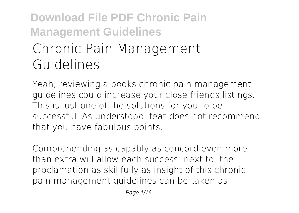# **Download File PDF Chronic Pain Management Guidelines Chronic Pain Management**

# **Guidelines**

Yeah, reviewing a books **chronic pain management guidelines** could increase your close friends listings. This is just one of the solutions for you to be successful. As understood, feat does not recommend that you have fabulous points.

Comprehending as capably as concord even more than extra will allow each success. next to, the proclamation as skillfully as insight of this chronic pain management guidelines can be taken as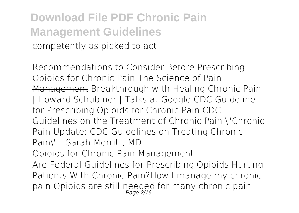**Download File PDF Chronic Pain Management Guidelines** competently as picked to act.

Recommendations to Consider Before Prescribing Opioids for Chronic Pain The Science of Pain Management Breakthrough with Healing Chronic Pain | Howard Schubiner | Talks at Google *CDC Guideline for Prescribing Opioids for Chronic Pain CDC Guidelines on the Treatment of Chronic Pain \"Chronic Pain Update: CDC Guidelines on Treating Chronic Pain\" - Sarah Merritt, MD*

Opioids for Chronic Pain Management

Are Federal Guidelines for Prescribing Opioids Hurting Patients With Chronic Pain?How I manage my chronic pain Opioids are still needed for many chronic pain Page 2/16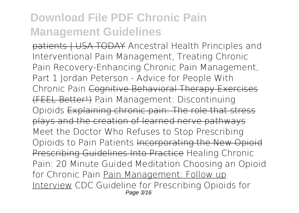patients | USA TODAY **Ancestral Health Principles and Interventional Pain Management, Treating Chronic Pain** *Recovery-Enhancing Chronic Pain Management, Part 1* Jordan Peterson - Advice for People With Chronic Pain Cognitive Behavioral Therapy Exercises (FEEL Better!) *Pain Management: Discontinuing Opioids* Explaining chronic pain: The role that stress plays and the creation of learned nerve pathways *Meet the Doctor Who Refuses to Stop Prescribing Opioids to Pain Patients* Incorporating the New Opioid Prescribing Guidelines Into Practice *Healing Chronic Pain: 20 Minute Guided Meditation Choosing an Opioid for Chronic Pain* Pain Management: Follow up Interview CDC Guideline for Prescribing Opioids for Page 3/16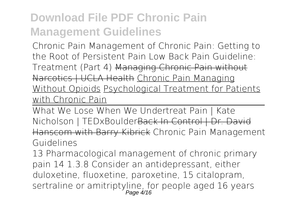Chronic Pain *Management of Chronic Pain: Getting to the Root of Persistent Pain Low Back Pain Guideline: Treatment (Part 4)* Managing Chronic Pain without Narcotics | UCLA Health Chronic Pain Managing Without Opioids Psychological Treatment for Patients with Chronic Pain

What We Lose When We Undertreat Pain | Kate Nicholson | TEDxBoulderBack In Control | Dr. David Hanscom with Barry Kibrick **Chronic Pain Management Guidelines**

13 Pharmacological management of chronic primary pain 14 1.3.8 Consider an antidepressant, either duloxetine, fluoxetine, paroxetine, 15 citalopram, sertraline or amitriptyline, for people aged 16 years  $P$ age  $4/16$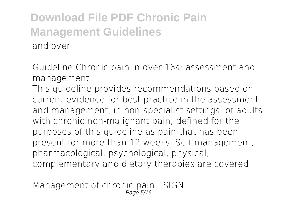**Guideline Chronic pain in over 16s: assessment and management**

This guideline provides recommendations based on current evidence for best practice in the assessment and management, in non-specialist settings, of adults with chronic non-malignant pain, defined for the purposes of this guideline as pain that has been present for more than 12 weeks. Self management, pharmacological, psychological, physical, complementary and dietary therapies are covered.

**Management of chronic pain - SIGN** Page 5/16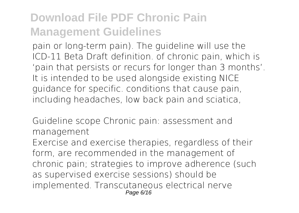pain or long-term pain). The guideline will use the ICD-11 Beta Draft definition. of chronic pain, which is 'pain that persists or recurs for longer than 3 months'. It is intended to be used alongside existing NICE guidance for specific. conditions that cause pain, including headaches, low back pain and sciatica,

**Guideline scope Chronic pain: assessment and management**

Exercise and exercise therapies, regardless of their form, are recommended in the management of chronic pain; strategies to improve adherence (such as supervised exercise sessions) should be implemented. Transcutaneous electrical nerve Page 6/16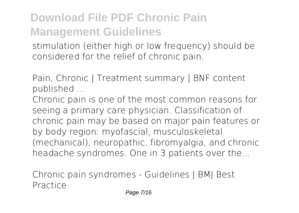stimulation (either high or low frequency) should be considered for the relief of chronic pain.

**Pain, Chronic | Treatment summary | BNF content published ...**

Chronic pain is one of the most common reasons for seeing a primary care physician. Classification of chronic pain may be based on major pain features or by body region: myofascial, musculoskeletal (mechanical), neuropathic, fibromyalgia, and chronic headache syndromes. One in 3 patients over the...

**Chronic pain syndromes - Guidelines | BMJ Best Practice**

Page 7/16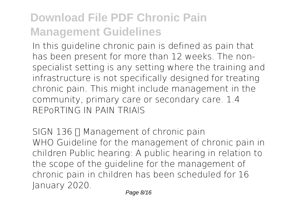In this guideline chronic pain is defined as pain that has been present for more than 12 weeks. The nonspecialist setting is any setting where the training and infrastructure is not specifically designed for treating chronic pain. This might include management in the community, primary care or secondary care. 1.4 REPoRTING IN PAIN TRIAlS

**SIGN 136 T Management of chronic pain** WHO Guideline for the management of chronic pain in children Public hearing: A public hearing in relation to the scope of the guideline for the management of chronic pain in children has been scheduled for 16 January 2020.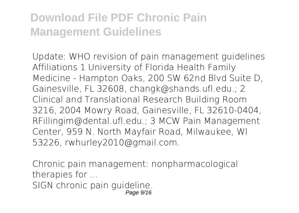**Update: WHO revision of pain management guidelines** Affiliations 1 University of Florida Health Family Medicine - Hampton Oaks, 200 SW 62nd Blvd Suite D, Gainesville, FL 32608, changk@shands.ufl.edu.; 2 Clinical and Translational Research Building Room 3216, 2004 Mowry Road, Gainesville, FL 32610-0404, RFillingim@dental.ufl.edu.; 3 MCW Pain Management Center, 959 N. North Mayfair Road, Milwaukee, WI 53226, rwhurley2010@gmail.com.

**Chronic pain management: nonpharmacological therapies for ...** SIGN chronic pain guideline. Page 9/16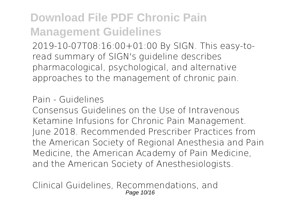2019-10-07T08:16:00+01:00 By SIGN. This easy-toread summary of SIGN's guideline describes pharmacological, psychological, and alternative approaches to the management of chronic pain.

#### **Pain - Guidelines**

Consensus Guidelines on the Use of Intravenous Ketamine Infusions for Chronic Pain Management. June 2018. Recommended Prescriber Practices from the American Society of Regional Anesthesia and Pain Medicine, the American Academy of Pain Medicine, and the American Society of Anesthesiologists.

**Clinical Guidelines, Recommendations, and** Page 10/16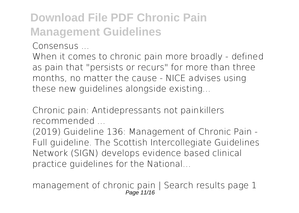**Consensus ...**

When it comes to chronic pain more broadly - defined as pain that "persists or recurs" for more than three months, no matter the cause - NICE advises using these new guidelines alongside existing...

**Chronic pain: Antidepressants not painkillers recommended ...**

(2019) Guideline 136: Management of Chronic Pain - Full guideline. The Scottish Intercollegiate Guidelines Network (SIGN) develops evidence based clinical practice guidelines for the National...

**management of chronic pain | Search results page 1** Page 11/16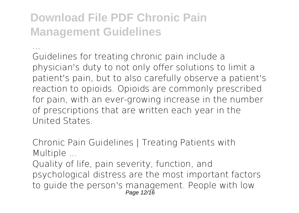**...** Guidelines for treating chronic pain include a physician's duty to not only offer solutions to limit a patient's pain, but to also carefully observe a patient's reaction to opioids. Opioids are commonly prescribed for pain, with an ever-growing increase in the number of prescriptions that are written each year in the United States.

**Chronic Pain Guidelines | Treating Patients with Multiple ...**

Quality of life, pain severity, function, and psychological distress are the most important factors to guide the person's management. People with low Page 12/16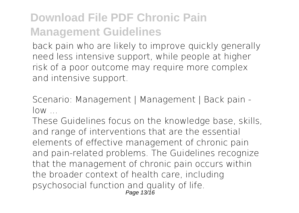back pain who are likely to improve quickly generally need less intensive support, while people at higher risk of a poor outcome may require more complex and intensive support.

**Scenario: Management | Management | Back pain low ...**

These Guidelines focus on the knowledge base, skills, and range of interventions that are the essential elements of effective management of chronic pain and pain-related problems. The Guidelines recognize that the management of chronic pain occurs within the broader context of health care, including psychosocial function and quality of life. Page 13/16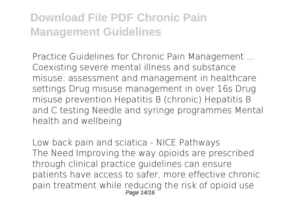**Practice Guidelines for Chronic Pain Management ...** Coexisting severe mental illness and substance misuse: assessment and management in healthcare settings Drug misuse management in over 16s Drug misuse prevention Hepatitis B (chronic) Hepatitis B and C testing Needle and syringe programmes Mental health and wellbeing

**Low back pain and sciatica - NICE Pathways** The Need Improving the way opioids are prescribed through clinical practice guidelines can ensure patients have access to safer, more effective chronic pain treatment while reducing the risk of opioid use Page 14/16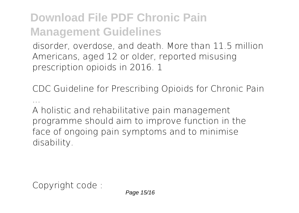disorder, overdose, and death. More than 11.5 million Americans, aged 12 or older, reported misusing prescription opioids in 2016. 1

**CDC Guideline for Prescribing Opioids for Chronic Pain ...**

A holistic and rehabilitative pain management programme should aim to improve function in the face of ongoing pain symptoms and to minimise disability.

Copyright code :